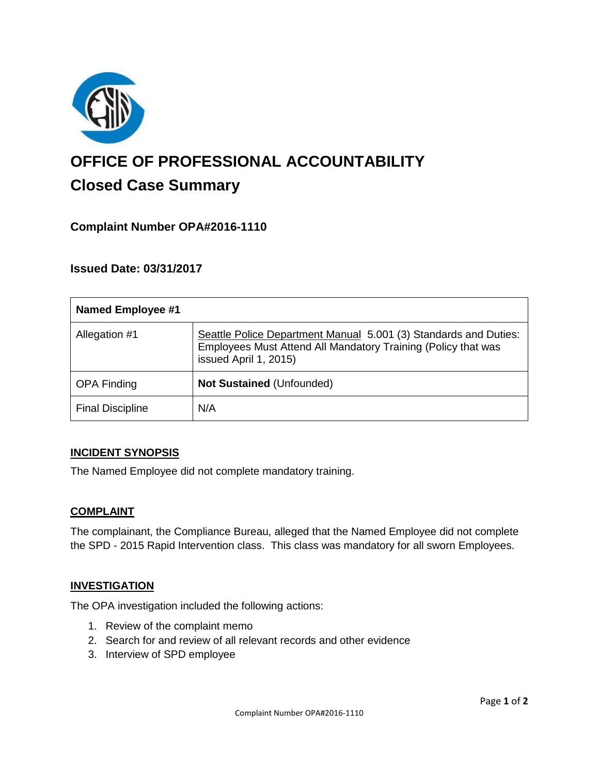

# **OFFICE OF PROFESSIONAL ACCOUNTABILITY Closed Case Summary**

# **Complaint Number OPA#2016-1110**

# **Issued Date: 03/31/2017**

| <b>Named Employee #1</b> |                                                                                                                                                            |
|--------------------------|------------------------------------------------------------------------------------------------------------------------------------------------------------|
| Allegation #1            | Seattle Police Department Manual 5.001 (3) Standards and Duties:<br>Employees Must Attend All Mandatory Training (Policy that was<br>issued April 1, 2015) |
| <b>OPA Finding</b>       | <b>Not Sustained (Unfounded)</b>                                                                                                                           |
| <b>Final Discipline</b>  | N/A                                                                                                                                                        |

### **INCIDENT SYNOPSIS**

The Named Employee did not complete mandatory training.

### **COMPLAINT**

The complainant, the Compliance Bureau, alleged that the Named Employee did not complete the SPD - 2015 Rapid Intervention class. This class was mandatory for all sworn Employees.

### **INVESTIGATION**

The OPA investigation included the following actions:

- 1. Review of the complaint memo
- 2. Search for and review of all relevant records and other evidence
- 3. Interview of SPD employee